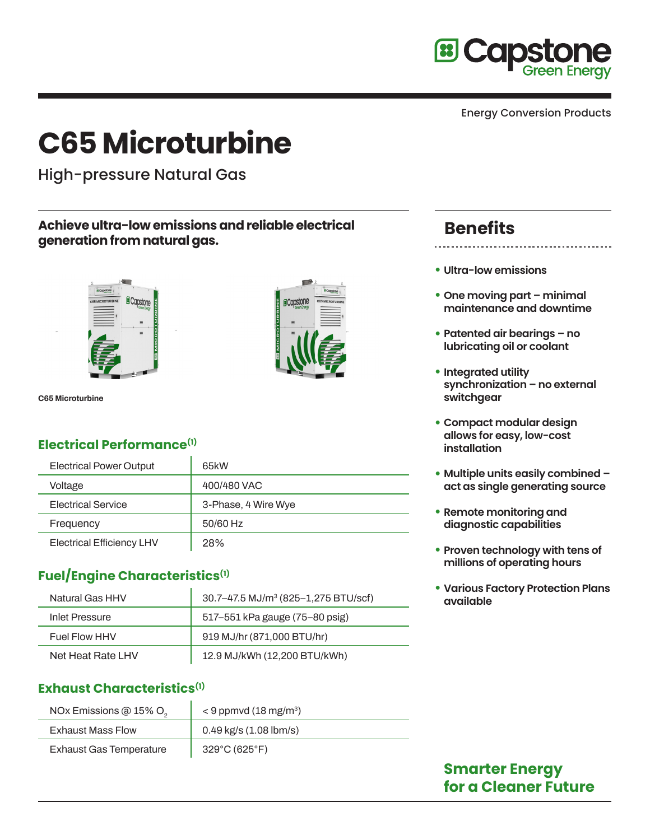

# **C65 Microturbine**

High-pressure Natural Gas

#### **Achieve ultra-low emissions and reliable electrical generation from natural gas.**



**C65 Microturbine**

# **Electrical Performance(1)**

| <b>Electrical Power Output</b>   | 65kW                |
|----------------------------------|---------------------|
| Voltage                          | 400/480 VAC         |
| <b>Electrical Service</b>        | 3-Phase, 4 Wire Wye |
| Frequency                        | 50/60 Hz            |
| <b>Electrical Efficiency LHV</b> | 28%                 |

# **Fuel/Engine Characteristics(1)**

| Natural Gas HHV   | 30.7–47.5 MJ/m <sup>3</sup> (825–1,275 BTU/scf) |
|-------------------|-------------------------------------------------|
| Inlet Pressure    | 517-551 kPa gauge (75-80 psig)                  |
| Fuel Flow HHV     | 919 MJ/hr (871,000 BTU/hr)                      |
| Net Heat Rate LHV | 12.9 MJ/kWh (12,200 BTU/kWh)                    |

#### **Exhaust Characteristics(1)**

| NOx Emissions @ 15% O <sub>2</sub> | $<$ 9 ppmvd (18 mg/m <sup>3</sup> ) |
|------------------------------------|-------------------------------------|
| <b>Exhaust Mass Flow</b>           | $0.49$ kg/s $(1.08$ lbm/s)          |
| <b>Exhaust Gas Temperature</b>     | $329^{\circ}$ C (625 $^{\circ}$ F)  |

# **Benefits**

- **Ultra-low emissions**
- **• One moving part minimal maintenance and downtime**
- **• Patented air bearings no lubricating oil or coolant**
- **• Integrated utility synchronization – no external switchgear**
- **• Compact modular design allows for easy, low-cost installation**
- **• Multiple units easily combined act as single generating source**
- **• Remote monitoring and diagnostic capabilities**
- **• Proven technology with tens of millions of operating hours**
- **• Various Factory Protection Plans available**

# **Smarter Energy for a Cleaner Future**